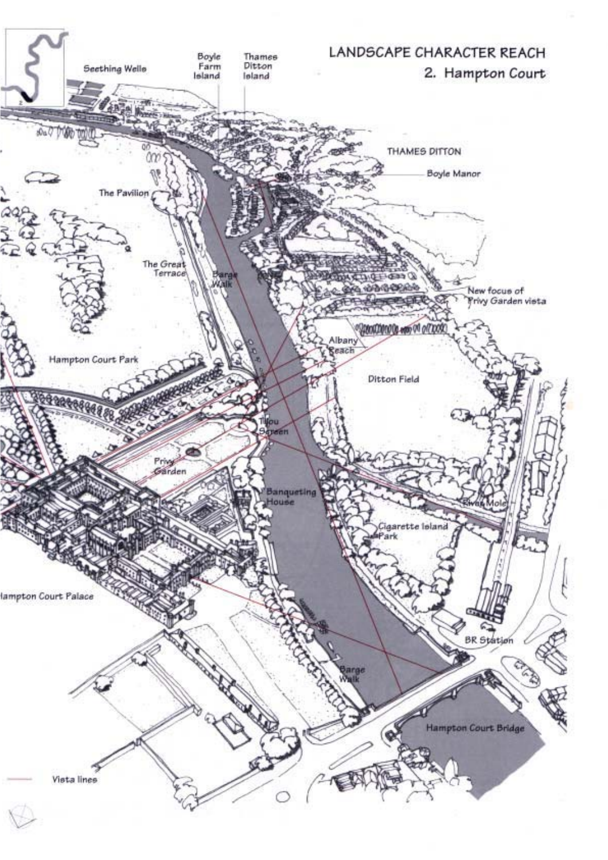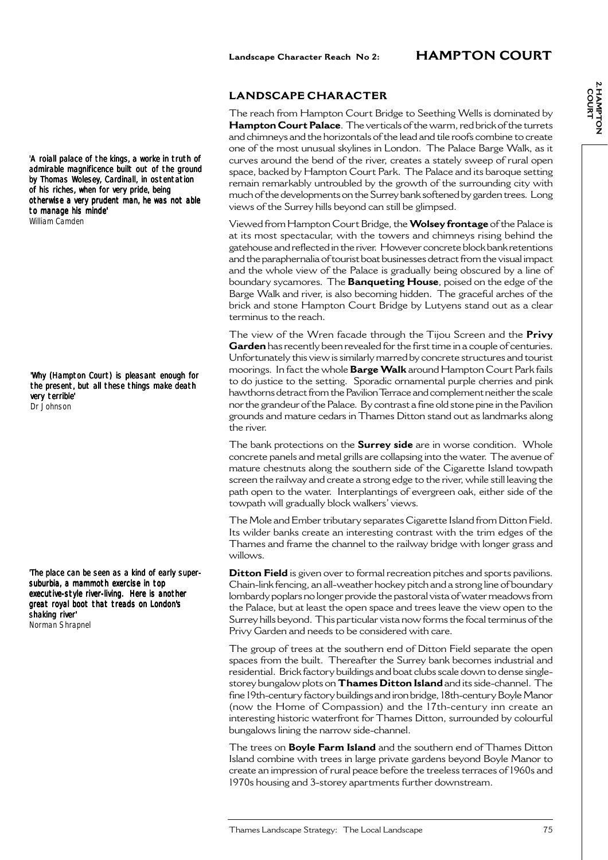#### **LANDSCAPE CHARACTER**

The reach from Hampton Court Bridge to Seething Wells is dominated by **Hampton Court Palace**. The verticals of the warm, red brick of the turrets and chimneys and the horizontals of the lead and tile roofs combine to create one of the most unusual skylines in London. The Palace Barge Walk, as it curves around the bend of the river, creates a stately sweep of rural open space, backed by Hampton Court Park. The Palace and its baroque setting remain remarkably untroubled by the growth of the surrounding city with much of the developments on the Surrey bank softened by garden trees. Long views of the Surrey hills beyond can still be glimpsed.

Viewed from Hampton Court Bridge, the **Wolsey frontage** of the Palace is at its most spectacular, with the towers and chimneys rising behind the gatehouse and reflected in the river. However concrete block bank retentions and the paraphernalia of tourist boat businesses detract from the visual impact and the whole view of the Palace is gradually being obscured by a line of boundary sycamores. The **Banqueting House**, poised on the edge of the Barge Walk and river, is also becoming hidden. The graceful arches of the brick and stone Hampton Court Bridge by Lutyens stand out as a clear terminus to the reach.

The view of the Wren facade through the Tijou Screen and the **Privy Garden** has recently been revealed for the first time in a couple of centuries. Unfortunately this view is similarly marred by concrete structures and tourist moorings. In fact the whole **Barge Walk** around Hampton Court Park fails to do justice to the setting. Sporadic ornamental purple cherries and pink hawthorns detract from the Pavilion Terrace and complement neither the scale nor the grandeur of the Palace. By contrast a fine old stone pine in the Pavilion grounds and mature cedars in Thames Ditton stand out as landmarks along the river.

The bank protections on the **Surrey side** are in worse condition. Whole concrete panels and metal grills are collapsing into the water. The avenue of mature chestnuts along the southern side of the Cigarette Island towpath screen the railway and create a strong edge to the river, while still leaving the path open to the water. Interplantings of evergreen oak, either side of the towpath will gradually block walkers' views.

The Mole and Ember tributary separates Cigarette Island from Ditton Field. Its wilder banks create an interesting contrast with the trim edges of the Thames and frame the channel to the railway bridge with longer grass and willows.

**Ditton Field** is given over to formal recreation pitches and sports pavilions. Chain-link fencing, an all-weather hockey pitch and a strong line of boundary lombardy poplars no longer provide the pastoral vista of water meadows from the Palace, but at least the open space and trees leave the view open to the Surrey hills beyond. This particular vista now forms the focal terminus of the Privy Garden and needs to be considered with care.

The group of trees at the southern end of Ditton Field separate the open spaces from the built. Thereafter the Surrey bank becomes industrial and residential. Brick factory buildings and boat clubs scale down to dense singlestorey bungalow plots on **Thames Ditton Island** and its side-channel. The fine 19th-century factory buildings and iron bridge, 18th-century Boyle Manor (now the Home of Compassion) and the 17th-century inn create an interesting historic waterfront for Thames Ditton, surrounded by colourful bungalows lining the narrow side-channel.

The trees on **Boyle Farm Island** and the southern end of Thames Ditton Island combine with trees in large private gardens beyond Boyle Manor to create an impression of rural peace before the treeless terraces of 1960s and 1970s housing and 3-storey apartments further downstream.

'A roiall palace of the kings, a worke in truth of admirable magnificence built out of the ground by Thomas Wolesey, Cardinall, in ostentation of his riches, when for very pride, being otherwise a very prudent man, he was not able to manage his minde' William Camden

'Why (Hampton Court) is pleasant enough for the present, but all these things make death very terrible' Dr Johnson

'The place can be seen as a kind of early supersuburbia, a mammoth exercise in top executive-style river-living. Here is another great royal boot that treads on London's shaking river'

Norman Shrapnel

**2.HAMPTON**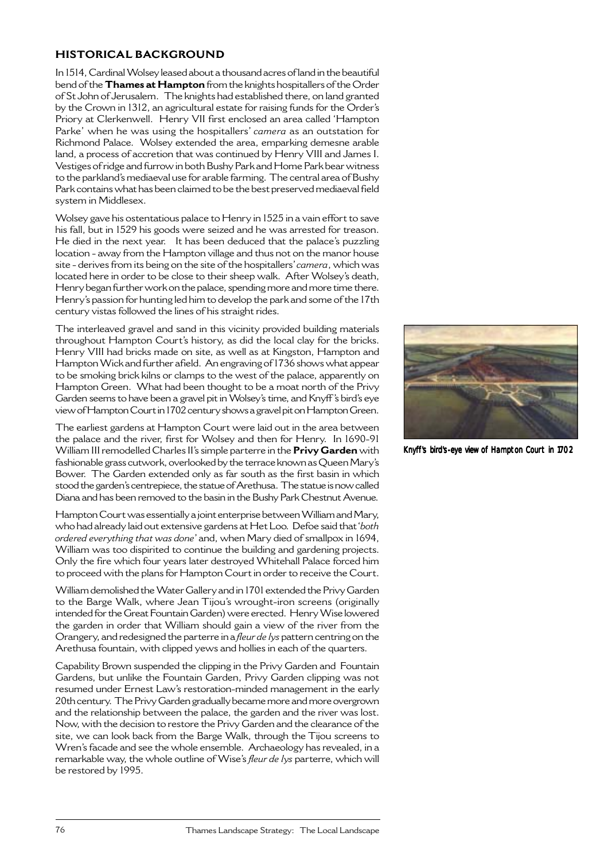# **HISTORICAL BACKGROUND**

In 1514, Cardinal Wolsey leased about a thousand acres of land in the beautiful bend of the **Thames at Hampton** from the knights hospitallers of the Order of St John of Jerusalem. The knights had established there, on land granted by the Crown in 1312, an agricultural estate for raising funds for the Order's Priory at Clerkenwell. Henry VII first enclosed an area called 'Hampton Parke' when he was using the hospitallers' *camera* as an outstation for Richmond Palace. Wolsey extended the area, emparking demesne arable land, a process of accretion that was continued by Henry VIII and James I. Vestiges of ridge and furrow in both Bushy Park and Home Park bear witness to the parkland's mediaeval use for arable farming. The central area of Bushy Park contains what has been claimed to be the best preserved mediaeval field system in Middlesex.

Wolsey gave his ostentatious palace to Henry in 1525 in a vain effort to save his fall, but in 1529 his goods were seized and he was arrested for treason. He died in the next year. It has been deduced that the palace's puzzling location - away from the Hampton village and thus not on the manor house site - derives from its being on the site of the hospitallers' *camera*, which was located here in order to be close to their sheep walk. After Wolsey's death, Henry began further work on the palace, spending more and more time there. Henry's passion for hunting led him to develop the park and some of the 17th century vistas followed the lines of his straight rides.

The interleaved gravel and sand in this vicinity provided building materials throughout Hampton Court's history, as did the local clay for the bricks. Henry VIII had bricks made on site, as well as at Kingston, Hampton and Hampton Wick and further afield. An engraving of 1736 shows what appear to be smoking brick kilns or clamps to the west of the palace, apparently on Hampton Green. What had been thought to be a moat north of the Privy Garden seems to have been a gravel pit in Wolsey's time, and Knyff 's bird's eye view of Hampton Court in 1702 century shows a gravel pit on Hampton Green.

The earliest gardens at Hampton Court were laid out in the area between the palace and the river, first for Wolsey and then for Henry. In 1690-91 William III remodelled Charles II's simple parterre in the **Privy Garden** with fashionable grass cutwork, overlooked by the terrace known as Queen Mary's Bower. The Garden extended only as far south as the first basin in which stood the garden's centrepiece, the statue of Arethusa. The statue is now called Diana and has been removed to the basin in the Bushy Park Chestnut Avenue.

Hampton Court was essentially a joint enterprise between William and Mary, who had already laid out extensive gardens at Het Loo. Defoe said that '*both ordered everything that was done*' and, when Mary died of smallpox in 1694, William was too dispirited to continue the building and gardening projects. Only the fire which four years later destroyed Whitehall Palace forced him to proceed with the plans for Hampton Court in order to receive the Court.

William demolished the Water Gallery and in 1701 extended the Privy Garden to the Barge Walk, where Jean Tijou's wrought-iron screens (originally intended for the Great Fountain Garden) were erected. Henry Wise lowered the garden in order that William should gain a view of the river from the Orangery, and redesigned the parterre in a *fleur de lys* pattern centring on the Arethusa fountain, with clipped yews and hollies in each of the quarters.

Capability Brown suspended the clipping in the Privy Garden and Fountain Gardens, but unlike the Fountain Garden, Privy Garden clipping was not resumed under Ernest Law's restoration-minded management in the early 20th century. The Privy Garden gradually became more and more overgrown and the relationship between the palace, the garden and the river was lost. Now, with the decision to restore the Privy Garden and the clearance of the site, we can look back from the Barge Walk, through the Tijou screens to Wren's facade and see the whole ensemble. Archaeology has revealed, in a remarkable way, the whole outline of Wise's *fleur de lys* parterre, which will be restored by 1995.



Knyff's bird's-eye view of Hampton Court in 1702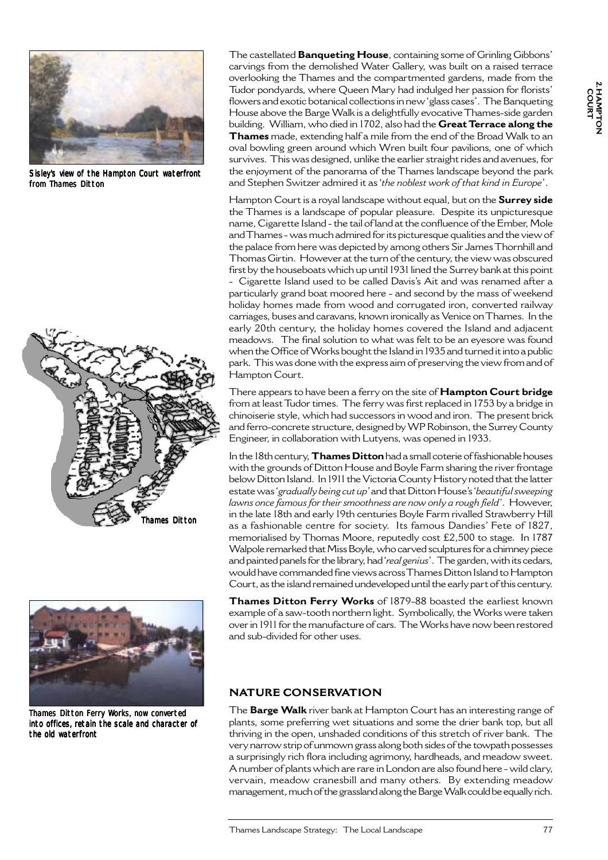

Sisley's view of the Hampton Court waterfront from Thames Ditton





Thames Ditton Ferry Works, now converted into offices, retain the scale and character of the old waterfront

The castellated **Banqueting House**, containing some of Grinling Gibbons' carvings from the demolished Water Gallery, was built on a raised terrace overlooking the Thames and the compartmented gardens, made from the Tudor pondyards, where Queen Mary had indulged her passion for florists' flowers and exotic botanical collections in new 'glass cases'. The Banqueting House above the Barge Walk is a delightfully evocative Thames-side garden building. William, who died in 1702, also had the **Great Terrace along the Thames** made, extending half a mile from the end of the Broad Walk to an oval bowling green around which Wren built four pavilions, one of which survives. This was designed, unlike the earlier straight rides and avenues, for the enjoyment of the panorama of the Thames landscape beyond the park and Stephen Switzer admired it as '*the noblest work of that kind in Europe*'.

Hampton Court is a royal landscape without equal, but on the **Surrey side** the Thames is a landscape of popular pleasure. Despite its unpicturesque name, Cigarette Island - the tail of land at the confluence of the Ember, Mole and Thames - was much admired for its picturesque qualities and the view of the palace from here was depicted by among others Sir James Thornhill and Thomas Girtin. However at the turn of the century, the view was obscured first by the houseboats which up until 1931 lined the Surrey bank at this point - Cigarette Island used to be called Davis's Ait and was renamed after a particularly grand boat moored here - and second by the mass of weekend holiday homes made from wood and corrugated iron, converted railway carriages, buses and caravans, known ironically as Venice on Thames. In the early 20th century, the holiday homes covered the Island and adjacent meadows. The final solution to what was felt to be an eyesore was found when the Office of Works bought the Island in 1935 and turned it into a public park. This was done with the express aim of preserving the view from and of Hampton Court.

There appears to have been a ferry on the site of **Hampton Court bridge** from at least Tudor times. The ferry was first replaced in 1753 by a bridge in chinoiserie style, which had successors in wood and iron. The present brick and ferro-concrete structure, designed by WP Robinson, the Surrey County Engineer, in collaboration with Lutyens, was opened in 1933.

In the 18th century, **Thames Ditton** had a small coterie of fashionable houses with the grounds of Ditton House and Boyle Farm sharing the river frontage below Ditton Island. In 1911 the Victoria County History noted that the latter estate was '*gradually being cut up*' and that Ditton House's '*beautiful sweeping lawns once famous for their smoothness are now only a rough field'*. However, in the late 18th and early 19th centuries Boyle Farm rivalled Strawberry Hill as a fashionable centre for society. Its famous Dandies' Fete of 1827, memorialised by Thomas Moore, reputedly cost £2,500 to stage. In 1787 Walpole remarked that Miss Boyle, who carved sculptures for a chimney piece and painted panels for the library, had '*real genius*'. The garden, with its cedars, would have commanded fine views across Thames Ditton Island to Hampton Court, as the island remained undeveloped until the early part of this century.

**Thames Ditton Ferry Works** of 1879-88 boasted the earliest known example of a saw-tooth northern light. Symbolically, the Works were taken over in 1911 for the manufacture of cars. The Works have now been restored and sub-divided for other uses.

# **NATURE CONSERVATION**

The **Barge Walk** river bank at Hampton Court has an interesting range of plants, some preferring wet situations and some the drier bank top, but all thriving in the open, unshaded conditions of this stretch of river bank. The very narrow strip of unmown grass along both sides of the towpath possesses a surprisingly rich flora including agrimony, hardheads, and meadow sweet. A number of plants which are rare in London are also found here - wild clary, vervain, meadow cranesbill and many others. By extending meadow management, much of the grassland along the Barge Walk could be equally rich.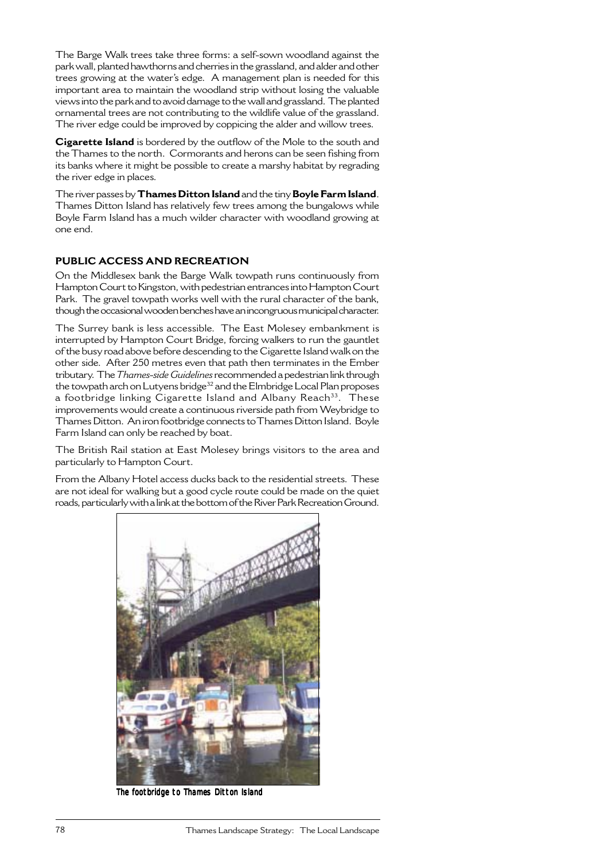The Barge Walk trees take three forms: a self-sown woodland against the park wall, planted hawthorns and cherries in the grassland, and alder and other trees growing at the water's edge. A management plan is needed for this important area to maintain the woodland strip without losing the valuable views into the park and to avoid damage to the wall and grassland. The planted ornamental trees are not contributing to the wildlife value of the grassland. The river edge could be improved by coppicing the alder and willow trees.

**Cigarette Island** is bordered by the outflow of the Mole to the south and the Thames to the north. Cormorants and herons can be seen fishing from its banks where it might be possible to create a marshy habitat by regrading the river edge in places.

The river passes by **Thames Ditton Island** and the tiny **Boyle Farm Island**. Thames Ditton Island has relatively few trees among the bungalows while Boyle Farm Island has a much wilder character with woodland growing at one end.

### **PUBLIC ACCESS AND RECREATION**

On the Middlesex bank the Barge Walk towpath runs continuously from Hampton Court to Kingston, with pedestrian entrances into Hampton Court Park. The gravel towpath works well with the rural character of the bank, though the occasional wooden benches have an incongruous municipal character.

The Surrey bank is less accessible. The East Molesey embankment is interrupted by Hampton Court Bridge, forcing walkers to run the gauntlet of the busy road above before descending to the Cigarette Island walk on the other side. After 250 metres even that path then terminates in the Ember tributary. The *Thames-side Guidelines* recommended a pedestrian link through the towpath arch on Lutyens bridge<sup>32</sup> and the Elmbridge Local Plan proposes a footbridge linking Cigarette Island and Albany Reach<sup>33</sup>. These improvements would create a continuous riverside path from Weybridge to Thames Ditton. An iron footbridge connects to Thames Ditton Island. Boyle Farm Island can only be reached by boat.

The British Rail station at East Molesey brings visitors to the area and particularly to Hampton Court.

From the Albany Hotel access ducks back to the residential streets. These are not ideal for walking but a good cycle route could be made on the quiet roads, particularly with a link at the bottom of the River Park Recreation Ground.



The footbridge to Thames Ditton Island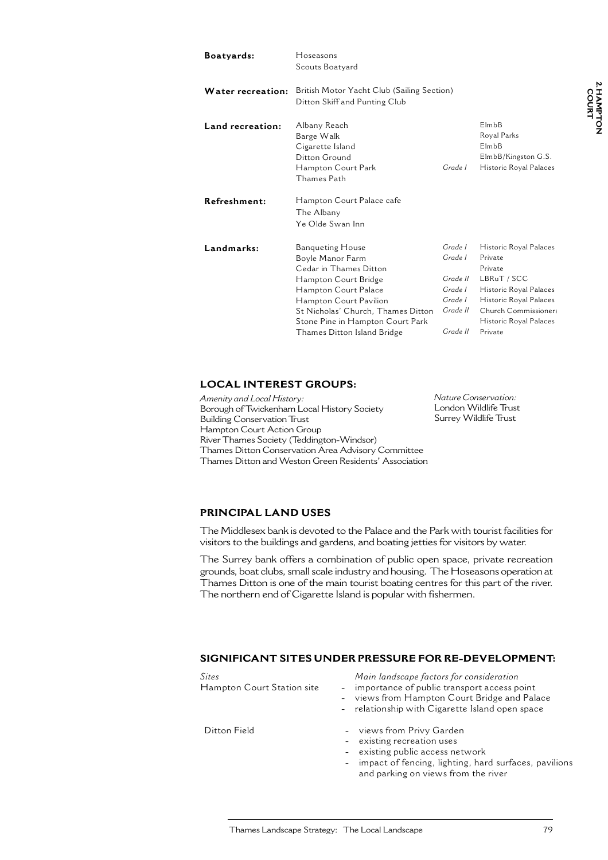| Boatyards:        | Hoseasons                                  |          |                                               |  |
|-------------------|--------------------------------------------|----------|-----------------------------------------------|--|
|                   | Scouts Boatyard                            |          |                                               |  |
| Water recreation: | British Motor Yacht Club (Sailing Section) |          |                                               |  |
|                   | Ditton Skiff and Punting Club              |          |                                               |  |
| Land recreation:  | Albany Reach                               |          | ElmbB                                         |  |
|                   | Barge Walk                                 |          | Royal Parks<br>ElmbB                          |  |
|                   | Cigarette Island<br>Ditton Ground          |          |                                               |  |
|                   |                                            | Grade I  | ElmbB/Kingston G.S.<br>Historic Royal Palaces |  |
|                   | Hampton Court Park<br>Thames Path          |          |                                               |  |
| Refreshment:      | Hampton Court Palace cafe                  |          |                                               |  |
|                   | The Albany                                 |          |                                               |  |
|                   | Ye Olde Swan Inn                           |          |                                               |  |
|                   |                                            |          |                                               |  |
| Landmarks:        | Banqueting House                           | Grade I  | Historic Royal Palaces                        |  |
|                   | Boyle Manor Farm                           | Grade I  | Private                                       |  |
|                   | Cedar in Thames Ditton                     |          | Private                                       |  |
|                   | Hampton Court Bridge                       | Grade II | LBRuT / SCC                                   |  |
|                   | Hampton Court Palace                       | Grade I  | Historic Royal Palaces                        |  |
|                   | Hampton Court Pavilion                     | Grade I  | Historic Royal Palaces                        |  |
|                   | St Nicholas' Church, Thames Ditton         | Grade II | Church Commissioners                          |  |
|                   | Stone Pine in Hampton Court Park           |          | Historic Royal Palaces                        |  |
|                   | Thames Ditton Island Bridge                | Grade II | Private                                       |  |

#### **LOCAL INTEREST GROUPS:**

*Amenity and Local History:* Borough of Twickenham Local History Society Building Conservation Trust Hampton Court Action Group River Thames Society (Teddington-Windsor) Thames Ditton Conservation Area Advisory Committee Thames Ditton and Weston Green Residents' Association

*Nature Conservation:* London Wildlife Trust Surrey Wildlife Trust

**2.HAMPTON COURT**

2. HAMPTON<br>COURT

### **PRINCIPAL LAND USES**

The Middlesex bank is devoted to the Palace and the Park with tourist facilities for visitors to the buildings and gardens, and boating jetties for visitors by water.

The Surrey bank offers a combination of public open space, private recreation grounds, boat clubs, small scale industry and housing. The Hoseasons operation at Thames Ditton is one of the main tourist boating centres for this part of the river. The northern end of Cigarette Island is popular with fishermen.

## **SIGNIFICANT SITES UNDER PRESSURE FOR RE-DEVELOPMENT:**

| <b>Sites</b><br>Hampton Court Station site | Main landscape factors for consideration<br>importance of public transport access point<br>views from Hampton Court Bridge and Palace<br>- relationship with Cigarette Island open space |
|--------------------------------------------|------------------------------------------------------------------------------------------------------------------------------------------------------------------------------------------|
| Ditton Field                               | - views from Privy Garden<br>- existing recreation uses<br>- existing public access network<br>- impact of fencing lighting hard surfaces pavili-                                        |

 ig, lighting, hard surfaces, pavilions and parking on views from the river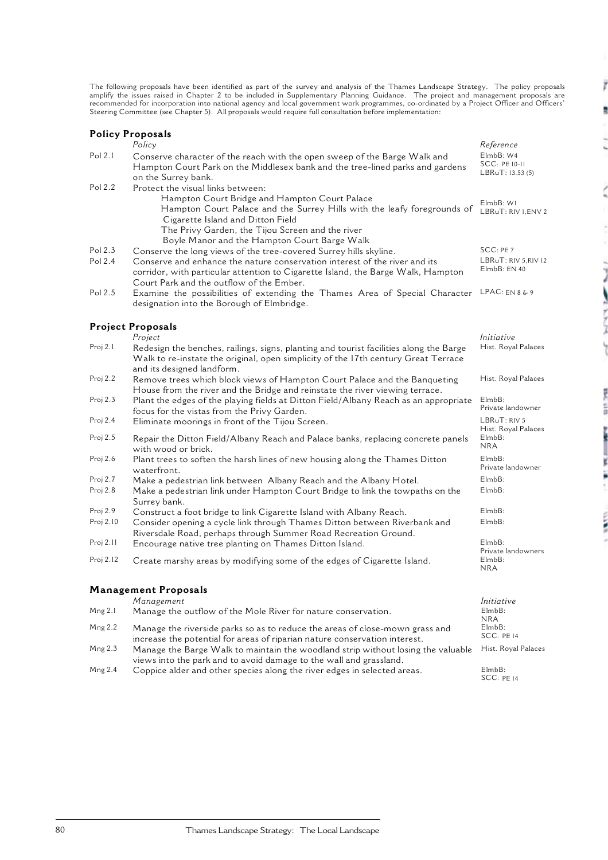The following proposals have been identified as part of the survey and analysis of the Thames Landscape Strategy. The policy proposals amplify the issues raised in Chapter 2 to be included in Supplementary Planning Guidance. The project and management proposals are recommended for incorporation into national agency and local government work programmes, co-ordinated by a Project Officer and Officers' Steering Committee (see Chapter 5). All proposals would require full consultation before implementation:

|                       | <b>Policy Proposals</b><br>Policy                                                                                                                                                                                                                                                                      | Reference                                     |
|-----------------------|--------------------------------------------------------------------------------------------------------------------------------------------------------------------------------------------------------------------------------------------------------------------------------------------------------|-----------------------------------------------|
| Pol 2.1               | Conserve character of the reach with the open sweep of the Barge Walk and<br>Hampton Court Park on the Middlesex bank and the tree-lined parks and gardens<br>on the Surrey bank.                                                                                                                      | ElmbB: W4<br>SCC: PE 10-11<br>LBRuT: 13.53(5) |
| Pol 2.2               | Protect the visual links between:<br>Hampton Court Bridge and Hampton Court Palace<br>Hampton Court Palace and the Surrey Hills with the leafy foregrounds of<br>Cigarette Island and Ditton Field<br>The Privy Garden, the Tijou Screen and the river<br>Boyle Manor and the Hampton Court Barge Walk | ElmbB: W1<br>LBRuT: RIV I, ENV 2              |
| Pol 2.3               | Conserve the long views of the tree-covered Surrey hills skyline.                                                                                                                                                                                                                                      | SCC: PE 7                                     |
| Pol 2.4               | Conserve and enhance the nature conservation interest of the river and its<br>corridor, with particular attention to Cigarette Island, the Barge Walk, Hampton<br>Court Park and the outflow of the Ember.                                                                                             | LBRuT: RIV 5, RIV 12<br>ElmbB: EN 40          |
| Pol 2.5               | Examine the possibilities of extending the Thames Area of Special Character<br>designation into the Borough of Elmbridge.                                                                                                                                                                              | LPAC: EN 8E 9                                 |
|                       | <b>Project Proposals</b>                                                                                                                                                                                                                                                                               |                                               |
| Proj 2.1              | Project<br>Redesign the benches, railings, signs, planting and tourist facilities along the Barge<br>Walk to re-instate the original, open simplicity of the 17th century Great Terrace<br>and its designed landform.                                                                                  | Initiative<br>Hist. Royal Palaces             |
| Proj $2.2$            | Remove trees which block views of Hampton Court Palace and the Banqueting<br>House from the river and the Bridge and reinstate the river viewing terrace.                                                                                                                                              | Hist. Royal Palaces                           |
| Proj 2.3              | Plant the edges of the playing fields at Ditton Field/Albany Reach as an appropriate<br>focus for the vistas from the Privy Garden.                                                                                                                                                                    | ElmbB:<br>Private landowner                   |
| Proj 2.4              | Eliminate moorings in front of the Tijou Screen.                                                                                                                                                                                                                                                       | LBRuT: RIV 5<br>Hist. Royal Palaces           |
| Proj 2.5              | Repair the Ditton Field/Albany Reach and Palace banks, replacing concrete panels<br>with wood or brick.                                                                                                                                                                                                | ElmbB:<br><b>NRA</b>                          |
| Proj 2.6              | Plant trees to soften the harsh lines of new housing along the Thames Ditton<br>waterfront.                                                                                                                                                                                                            | ElmbB:<br>Private landowner                   |
| Proj 2.7<br>Proj 2.8  | Make a pedestrian link between Albany Reach and the Albany Hotel.<br>Make a pedestrian link under Hampton Court Bridge to link the towpaths on the<br>Surrey bank.                                                                                                                                     | ElmbB:<br>ElmbB:                              |
| Proj 2.9<br>Proj 2.10 | Construct a foot bridge to link Cigarette Island with Albany Reach.<br>Consider opening a cycle link through Thames Ditton between Riverbank and<br>Riversdale Road, perhaps through Summer Road Recreation Ground.                                                                                    | ElmbB:<br>ElmbB:                              |
| Proj 2.11             | Encourage native tree planting on Thames Ditton Island.                                                                                                                                                                                                                                                | ElmbB:<br>Private landowners                  |
| Proj 2.12             | Create marshy areas by modifying some of the edges of Cigarette Island.                                                                                                                                                                                                                                | ElmbB:<br>NRA                                 |
|                       | <b>Management Proposals</b>                                                                                                                                                                                                                                                                            |                                               |
| Mng 2.1               | Management<br>Manage the outflow of the Mole River for nature conservation.                                                                                                                                                                                                                            | Initiative<br>ElmbB:<br>NRA                   |
| Mng 2.2               | Manage the riverside parks so as to reduce the areas of close-mown grass and<br>increase the potential for areas of riparian nature conservation interest.                                                                                                                                             | ElmbB:<br>SCC: PE14                           |
| Mng 2.3               | Manage the Barge Walk to maintain the woodland strip without losing the valuable<br>and the control of the control of the control of the control of the control of the control of the control of th                                                                                                    | Hist. Royal Palaces                           |

views into the park and to avoid damage to the wall and grassland.  $Mng 2.4$  Coppice alder and other species along the river edges in selected areas.

ElmbB:<br>SCC: PE 14

Ï

í,